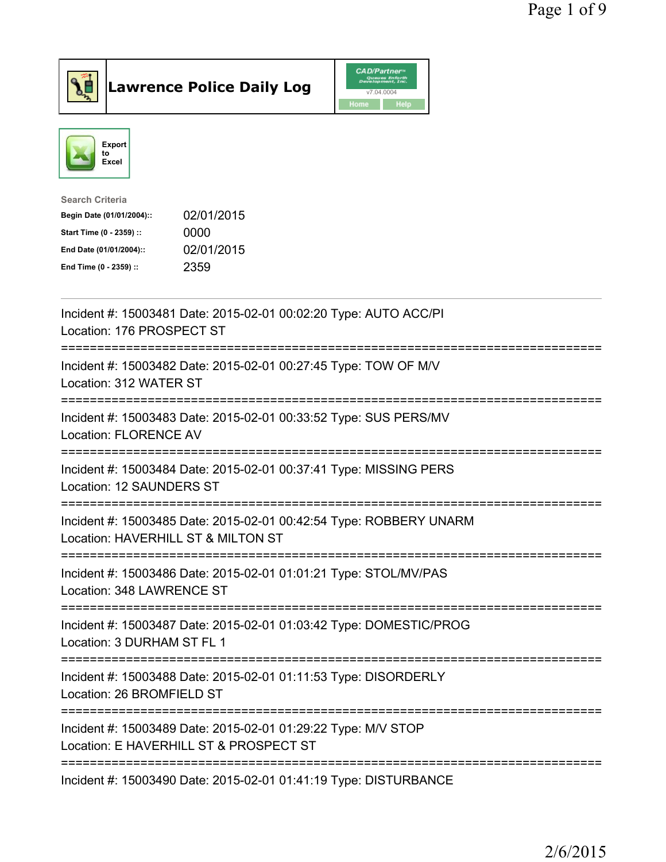



| <b>Search Criteria</b>    |            |
|---------------------------|------------|
| Begin Date (01/01/2004):: | 02/01/2015 |
| Start Time (0 - 2359) ::  | 0000       |
| End Date (01/01/2004)::   | 02/01/2015 |
| End Time (0 - 2359) ::    | 2359       |
|                           |            |

| Incident #: 15003481 Date: 2015-02-01 00:02:20 Type: AUTO ACC/PI<br>Location: 176 PROSPECT ST                             |
|---------------------------------------------------------------------------------------------------------------------------|
| Incident #: 15003482 Date: 2015-02-01 00:27:45 Type: TOW OF M/V<br>Location: 312 WATER ST<br>:===============             |
| Incident #: 15003483 Date: 2015-02-01 00:33:52 Type: SUS PERS/MV<br><b>Location: FLORENCE AV</b><br>===================== |
| Incident #: 15003484 Date: 2015-02-01 00:37:41 Type: MISSING PERS<br>Location: 12 SAUNDERS ST                             |
| Incident #: 15003485 Date: 2015-02-01 00:42:54 Type: ROBBERY UNARM<br>Location: HAVERHILL ST & MILTON ST                  |
| Incident #: 15003486 Date: 2015-02-01 01:01:21 Type: STOL/MV/PAS<br>Location: 348 LAWRENCE ST                             |
| Incident #: 15003487 Date: 2015-02-01 01:03:42 Type: DOMESTIC/PROG<br>Location: 3 DURHAM ST FL 1                          |
| Incident #: 15003488 Date: 2015-02-01 01:11:53 Type: DISORDERLY<br>Location: 26 BROMFIELD ST                              |
| Incident #: 15003489 Date: 2015-02-01 01:29:22 Type: M/V STOP<br>Location: E HAVERHILL ST & PROSPECT ST                   |
| Incident #: 15003490 Date: 2015-02-01 01:41:19 Type: DISTURBANCE                                                          |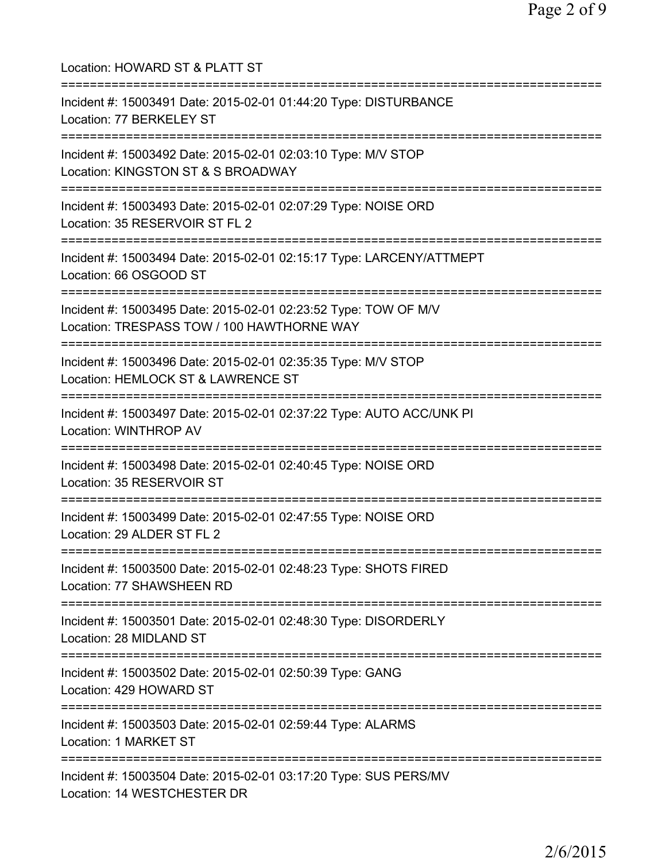| Location: HOWARD ST & PLATT ST                                                                                                                       |
|------------------------------------------------------------------------------------------------------------------------------------------------------|
| Incident #: 15003491 Date: 2015-02-01 01:44:20 Type: DISTURBANCE<br>Location: 77 BERKELEY ST                                                         |
| Incident #: 15003492 Date: 2015-02-01 02:03:10 Type: M/V STOP<br>Location: KINGSTON ST & S BROADWAY                                                  |
| Incident #: 15003493 Date: 2015-02-01 02:07:29 Type: NOISE ORD<br>Location: 35 RESERVOIR ST FL 2<br>================================                 |
| Incident #: 15003494 Date: 2015-02-01 02:15:17 Type: LARCENY/ATTMEPT<br>Location: 66 OSGOOD ST                                                       |
| ===================================<br>Incident #: 15003495 Date: 2015-02-01 02:23:52 Type: TOW OF M/V<br>Location: TRESPASS TOW / 100 HAWTHORNE WAY |
| Incident #: 15003496 Date: 2015-02-01 02:35:35 Type: M/V STOP<br>Location: HEMLOCK ST & LAWRENCE ST                                                  |
| Incident #: 15003497 Date: 2015-02-01 02:37:22 Type: AUTO ACC/UNK PI<br>Location: WINTHROP AV                                                        |
| Incident #: 15003498 Date: 2015-02-01 02:40:45 Type: NOISE ORD<br>Location: 35 RESERVOIR ST                                                          |
| Incident #: 15003499 Date: 2015-02-01 02:47:55 Type: NOISE ORD<br>Location: 29 ALDER ST FL 2                                                         |
| ;===================================<br>Incident #: 15003500 Date: 2015-02-01 02:48:23 Type: SHOTS FIRED<br>Location: 77 SHAWSHEEN RD                |
| Incident #: 15003501 Date: 2015-02-01 02:48:30 Type: DISORDERLY<br>Location: 28 MIDLAND ST                                                           |
| Incident #: 15003502 Date: 2015-02-01 02:50:39 Type: GANG<br>Location: 429 HOWARD ST                                                                 |
| Incident #: 15003503 Date: 2015-02-01 02:59:44 Type: ALARMS<br>Location: 1 MARKET ST                                                                 |
| Incident #: 15003504 Date: 2015-02-01 03:17:20 Type: SUS PERS/MV<br>Location: 14 WESTCHESTER DR                                                      |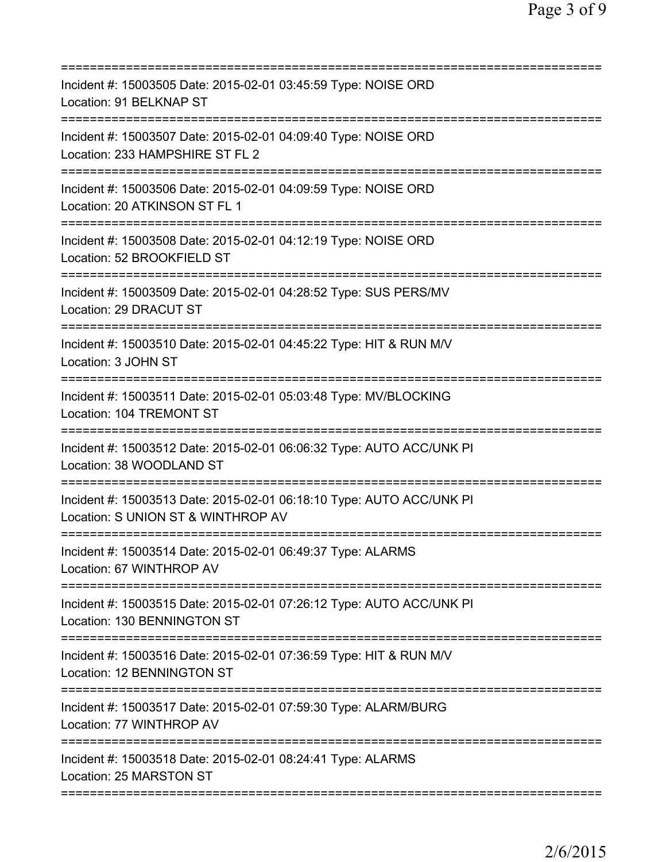| =======================                                                                                            |
|--------------------------------------------------------------------------------------------------------------------|
| Incident #: 15003505 Date: 2015-02-01 03:45:59 Type: NOISE ORD<br>Location: 91 BELKNAP ST<br>:==================   |
| Incident #: 15003507 Date: 2015-02-01 04:09:40 Type: NOISE ORD<br>Location: 233 HAMPSHIRE ST FL 2                  |
| Incident #: 15003506 Date: 2015-02-01 04:09:59 Type: NOISE ORD<br>Location: 20 ATKINSON ST FL 1                    |
| Incident #: 15003508 Date: 2015-02-01 04:12:19 Type: NOISE ORD<br>Location: 52 BROOKFIELD ST                       |
| Incident #: 15003509 Date: 2015-02-01 04:28:52 Type: SUS PERS/MV<br>Location: 29 DRACUT ST                         |
| Incident #: 15003510 Date: 2015-02-01 04:45:22 Type: HIT & RUN M/V<br>Location: 3 JOHN ST                          |
| Incident #: 15003511 Date: 2015-02-01 05:03:48 Type: MV/BLOCKING<br>Location: 104 TREMONT ST<br>================== |
| Incident #: 15003512 Date: 2015-02-01 06:06:32 Type: AUTO ACC/UNK PI<br>Location: 38 WOODLAND ST<br>-------------  |
| Incident #: 15003513 Date: 2015-02-01 06:18:10 Type: AUTO ACC/UNK PI<br>Location: S UNION ST & WINTHROP AV         |
| Incident #: 15003514 Date: 2015-02-01 06:49:37 Type: ALARMS<br>Location: 67 WINTHROP AV                            |
| Incident #: 15003515 Date: 2015-02-01 07:26:12 Type: AUTO ACC/UNK PI<br>Location: 130 BENNINGTON ST                |
| Incident #: 15003516 Date: 2015-02-01 07:36:59 Type: HIT & RUN M/V<br>Location: 12 BENNINGTON ST                   |
| Incident #: 15003517 Date: 2015-02-01 07:59:30 Type: ALARM/BURG<br>Location: 77 WINTHROP AV                        |
| Incident #: 15003518 Date: 2015-02-01 08:24:41 Type: ALARMS<br>Location: 25 MARSTON ST                             |
|                                                                                                                    |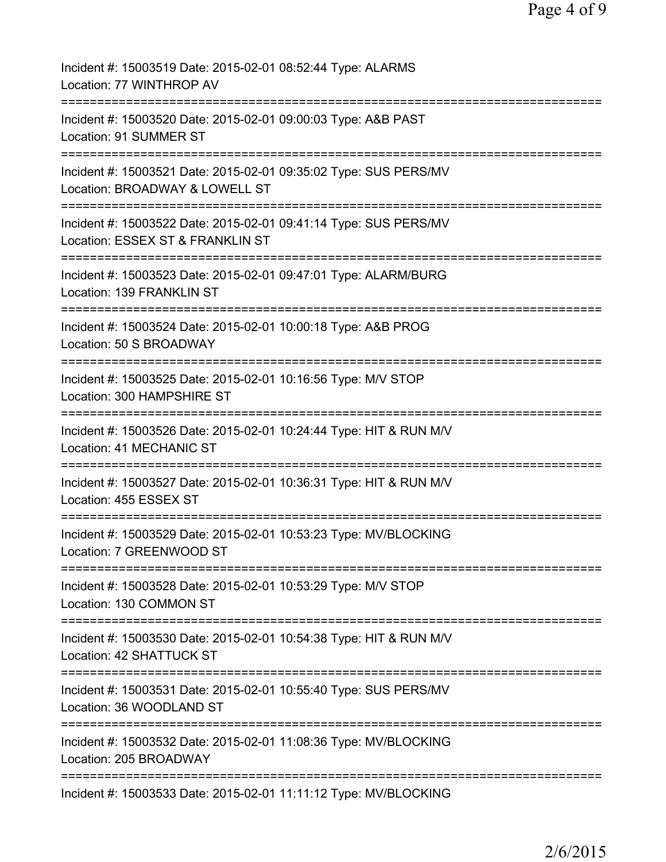| Incident #: 15003519 Date: 2015-02-01 08:52:44 Type: ALARMS<br>Location: 77 WINTHROP AV                                                                        |
|----------------------------------------------------------------------------------------------------------------------------------------------------------------|
| Incident #: 15003520 Date: 2015-02-01 09:00:03 Type: A&B PAST<br>Location: 91 SUMMER ST                                                                        |
| Incident #: 15003521 Date: 2015-02-01 09:35:02 Type: SUS PERS/MV<br>Location: BROADWAY & LOWELL ST                                                             |
| Incident #: 15003522 Date: 2015-02-01 09:41:14 Type: SUS PERS/MV<br>Location: ESSEX ST & FRANKLIN ST                                                           |
| Incident #: 15003523 Date: 2015-02-01 09:47:01 Type: ALARM/BURG<br>Location: 139 FRANKLIN ST                                                                   |
| Incident #: 15003524 Date: 2015-02-01 10:00:18 Type: A&B PROG<br>Location: 50 S BROADWAY                                                                       |
| Incident #: 15003525 Date: 2015-02-01 10:16:56 Type: M/V STOP<br>Location: 300 HAMPSHIRE ST                                                                    |
| Incident #: 15003526 Date: 2015-02-01 10:24:44 Type: HIT & RUN M/V<br>Location: 41 MECHANIC ST                                                                 |
| Incident #: 15003527 Date: 2015-02-01 10:36:31 Type: HIT & RUN M/V<br>Location: 455 ESSEX ST                                                                   |
| Incident #: 15003529 Date: 2015-02-01 10:53:23 Type: MV/BLOCKING<br>Location: 7 GREENWOOD ST                                                                   |
| =====================================<br>=========================<br>Incident #: 15003528 Date: 2015-02-01 10:53:29 Type: M/V STOP<br>Location: 130 COMMON ST |
| ===============================<br>Incident #: 15003530 Date: 2015-02-01 10:54:38 Type: HIT & RUN M/V<br>Location: 42 SHATTUCK ST                              |
| Incident #: 15003531 Date: 2015-02-01 10:55:40 Type: SUS PERS/MV<br>Location: 36 WOODLAND ST                                                                   |
| Incident #: 15003532 Date: 2015-02-01 11:08:36 Type: MV/BLOCKING<br>Location: 205 BROADWAY                                                                     |
| Incident #: 15003533 Date: 2015-02-01 11:11:12 Type: MV/BLOCKING                                                                                               |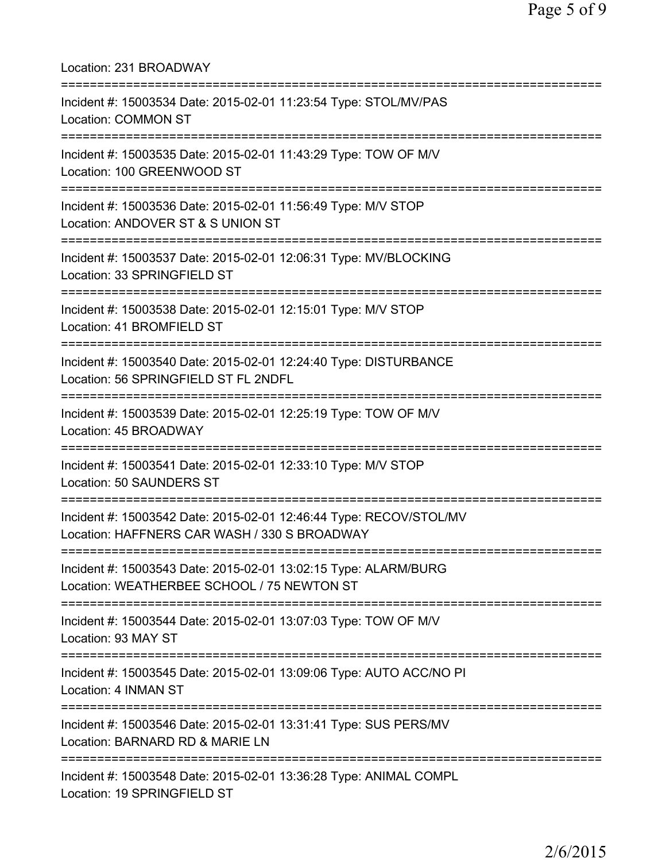| Location: 231 BROADWAY<br>===================================                                                                        |
|--------------------------------------------------------------------------------------------------------------------------------------|
| Incident #: 15003534 Date: 2015-02-01 11:23:54 Type: STOL/MV/PAS<br><b>Location: COMMON ST</b><br>================================   |
| Incident #: 15003535 Date: 2015-02-01 11:43:29 Type: TOW OF M/V<br>Location: 100 GREENWOOD ST<br>=================================== |
| Incident #: 15003536 Date: 2015-02-01 11:56:49 Type: M/V STOP<br>Location: ANDOVER ST & S UNION ST                                   |
| Incident #: 15003537 Date: 2015-02-01 12:06:31 Type: MV/BLOCKING<br>Location: 33 SPRINGFIELD ST                                      |
| Incident #: 15003538 Date: 2015-02-01 12:15:01 Type: M/V STOP<br>Location: 41 BROMFIELD ST                                           |
| Incident #: 15003540 Date: 2015-02-01 12:24:40 Type: DISTURBANCE<br>Location: 56 SPRINGFIELD ST FL 2NDFL                             |
| Incident #: 15003539 Date: 2015-02-01 12:25:19 Type: TOW OF M/V<br>Location: 45 BROADWAY                                             |
| Incident #: 15003541 Date: 2015-02-01 12:33:10 Type: M/V STOP<br>Location: 50 SAUNDERS ST                                            |
| Incident #: 15003542 Date: 2015-02-01 12:46:44 Type: RECOV/STOL/MV<br>Location: HAFFNERS CAR WASH / 330 S BROADWAY                   |
| Incident #: 15003543 Date: 2015-02-01 13:02:15 Type: ALARM/BURG<br>Location: WEATHERBEE SCHOOL / 75 NEWTON ST                        |
| Incident #: 15003544 Date: 2015-02-01 13:07:03 Type: TOW OF M/V<br>Location: 93 MAY ST                                               |
| Incident #: 15003545 Date: 2015-02-01 13:09:06 Type: AUTO ACC/NO PI<br>Location: 4 INMAN ST                                          |
| Incident #: 15003546 Date: 2015-02-01 13:31:41 Type: SUS PERS/MV<br>Location: BARNARD RD & MARIE LN                                  |
| Incident #: 15003548 Date: 2015-02-01 13:36:28 Type: ANIMAL COMPL<br>Location: 19 SPRINGFIELD ST                                     |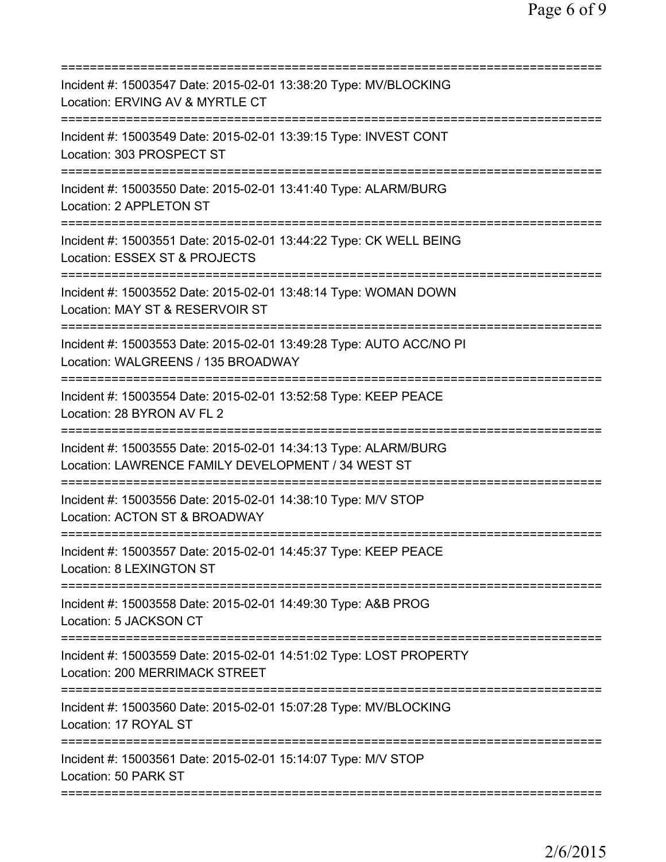| =========================                                                                                                                                             |
|-----------------------------------------------------------------------------------------------------------------------------------------------------------------------|
| Incident #: 15003547 Date: 2015-02-01 13:38:20 Type: MV/BLOCKING<br>Location: ERVING AV & MYRTLE CT<br>==================<br>====================<br>:=============== |
| Incident #: 15003549 Date: 2015-02-01 13:39:15 Type: INVEST CONT<br>Location: 303 PROSPECT ST                                                                         |
| Incident #: 15003550 Date: 2015-02-01 13:41:40 Type: ALARM/BURG<br>Location: 2 APPLETON ST                                                                            |
| Incident #: 15003551 Date: 2015-02-01 13:44:22 Type: CK WELL BEING<br>Location: ESSEX ST & PROJECTS                                                                   |
| Incident #: 15003552 Date: 2015-02-01 13:48:14 Type: WOMAN DOWN<br>Location: MAY ST & RESERVOIR ST                                                                    |
| Incident #: 15003553 Date: 2015-02-01 13:49:28 Type: AUTO ACC/NO PI<br>Location: WALGREENS / 135 BROADWAY                                                             |
| Incident #: 15003554 Date: 2015-02-01 13:52:58 Type: KEEP PEACE<br>Location: 28 BYRON AV FL 2<br>===============                                                      |
| Incident #: 15003555 Date: 2015-02-01 14:34:13 Type: ALARM/BURG<br>Location: LAWRENCE FAMILY DEVELOPMENT / 34 WEST ST                                                 |
| Incident #: 15003556 Date: 2015-02-01 14:38:10 Type: M/V STOP<br>Location: ACTON ST & BROADWAY                                                                        |
| Incident #: 15003557 Date: 2015-02-01 14:45:37 Type: KEEP PEACE<br>Location: 8 LEXINGTON ST                                                                           |
| Incident #: 15003558 Date: 2015-02-01 14:49:30 Type: A&B PROG<br>Location: 5 JACKSON CT                                                                               |
| Incident #: 15003559 Date: 2015-02-01 14:51:02 Type: LOST PROPERTY<br>Location: 200 MERRIMACK STREET                                                                  |
| Incident #: 15003560 Date: 2015-02-01 15:07:28 Type: MV/BLOCKING<br>Location: 17 ROYAL ST                                                                             |
| Incident #: 15003561 Date: 2015-02-01 15:14:07 Type: M/V STOP<br>Location: 50 PARK ST                                                                                 |
|                                                                                                                                                                       |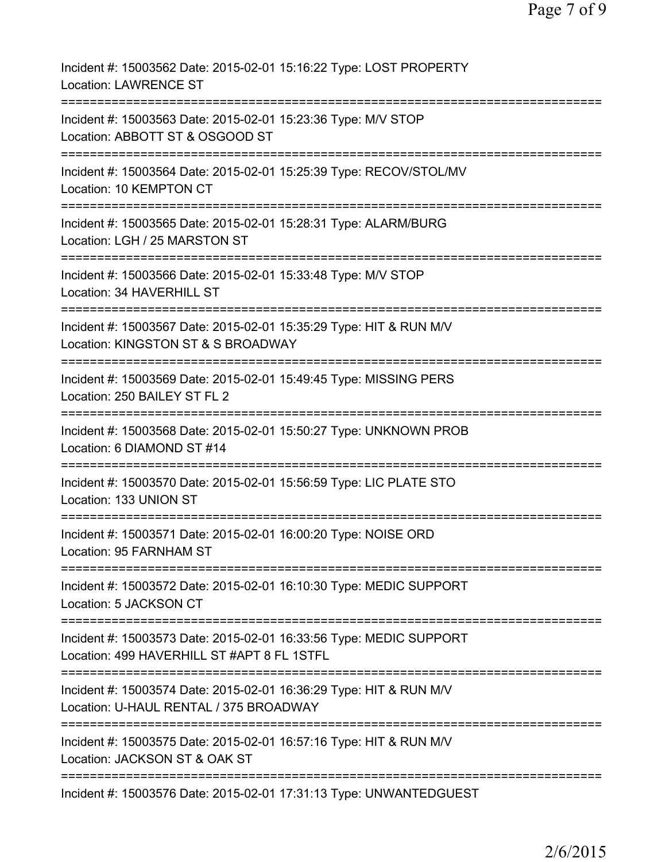| Incident #: 15003562 Date: 2015-02-01 15:16:22 Type: LOST PROPERTY<br><b>Location: LAWRENCE ST</b>                                          |
|---------------------------------------------------------------------------------------------------------------------------------------------|
| Incident #: 15003563 Date: 2015-02-01 15:23:36 Type: M/V STOP<br>Location: ABBOTT ST & OSGOOD ST                                            |
| Incident #: 15003564 Date: 2015-02-01 15:25:39 Type: RECOV/STOL/MV<br>Location: 10 KEMPTON CT                                               |
| Incident #: 15003565 Date: 2015-02-01 15:28:31 Type: ALARM/BURG<br>Location: LGH / 25 MARSTON ST                                            |
| Incident #: 15003566 Date: 2015-02-01 15:33:48 Type: M/V STOP<br>Location: 34 HAVERHILL ST                                                  |
| Incident #: 15003567 Date: 2015-02-01 15:35:29 Type: HIT & RUN M/V<br>Location: KINGSTON ST & S BROADWAY                                    |
| Incident #: 15003569 Date: 2015-02-01 15:49:45 Type: MISSING PERS<br>Location: 250 BAILEY ST FL 2                                           |
| Incident #: 15003568 Date: 2015-02-01 15:50:27 Type: UNKNOWN PROB<br>Location: 6 DIAMOND ST #14                                             |
| Incident #: 15003570 Date: 2015-02-01 15:56:59 Type: LIC PLATE STO<br>Location: 133 UNION ST                                                |
| Incident #: 15003571 Date: 2015-02-01 16:00:20 Type: NOISE ORD<br>Location: 95 FARNHAM ST                                                   |
| Incident #: 15003572 Date: 2015-02-01 16:10:30 Type: MEDIC SUPPORT<br>Location: 5 JACKSON CT                                                |
| Incident #: 15003573 Date: 2015-02-01 16:33:56 Type: MEDIC SUPPORT<br>Location: 499 HAVERHILL ST #APT 8 FL 1STFL                            |
| Incident #: 15003574 Date: 2015-02-01 16:36:29 Type: HIT & RUN M/V<br>Location: U-HAUL RENTAL / 375 BROADWAY                                |
| ====================================<br>Incident #: 15003575 Date: 2015-02-01 16:57:16 Type: HIT & RUN M/V<br>Location: JACKSON ST & OAK ST |
| Incident #: 15003576 Date: 2015-02-01 17:31:13 Type: UNWANTEDGUEST                                                                          |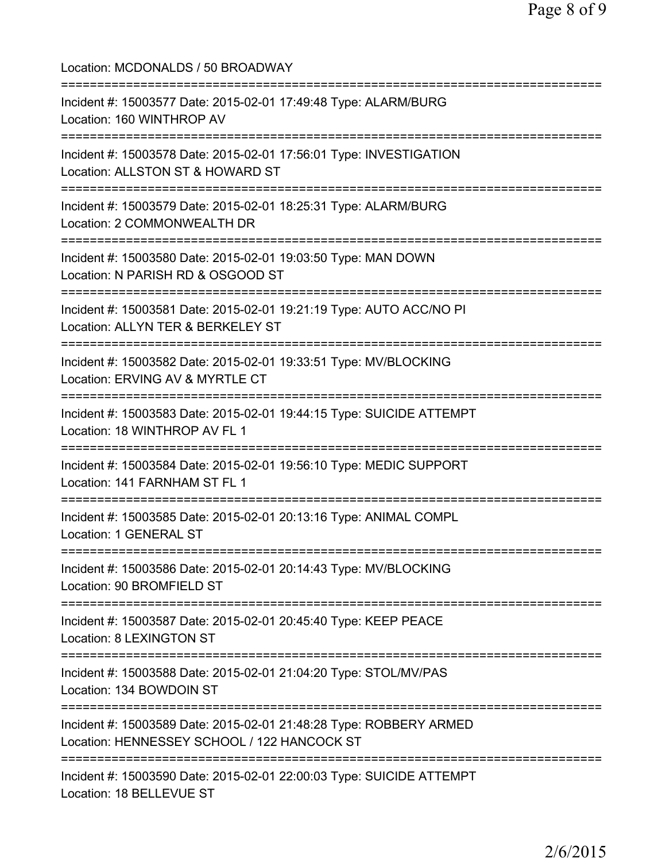| Location: MCDONALDS / 50 BROADWAY                                                                                 |
|-------------------------------------------------------------------------------------------------------------------|
| Incident #: 15003577 Date: 2015-02-01 17:49:48 Type: ALARM/BURG<br>Location: 160 WINTHROP AV                      |
| Incident #: 15003578 Date: 2015-02-01 17:56:01 Type: INVESTIGATION<br>Location: ALLSTON ST & HOWARD ST            |
| Incident #: 15003579 Date: 2015-02-01 18:25:31 Type: ALARM/BURG<br>Location: 2 COMMONWEALTH DR                    |
| Incident #: 15003580 Date: 2015-02-01 19:03:50 Type: MAN DOWN<br>Location: N PARISH RD & OSGOOD ST                |
| Incident #: 15003581 Date: 2015-02-01 19:21:19 Type: AUTO ACC/NO PI<br>Location: ALLYN TER & BERKELEY ST          |
| Incident #: 15003582 Date: 2015-02-01 19:33:51 Type: MV/BLOCKING<br>Location: ERVING AV & MYRTLE CT               |
| Incident #: 15003583 Date: 2015-02-01 19:44:15 Type: SUICIDE ATTEMPT<br>Location: 18 WINTHROP AV FL 1             |
| Incident #: 15003584 Date: 2015-02-01 19:56:10 Type: MEDIC SUPPORT<br>Location: 141 FARNHAM ST FL 1               |
| Incident #: 15003585 Date: 2015-02-01 20:13:16 Type: ANIMAL COMPL<br><b>Location: 1 GENERAL ST</b>                |
| Incident #: 15003586 Date: 2015-02-01 20:14:43 Type: MV/BLOCKING<br>Location: 90 BROMFIELD ST                     |
| Incident #: 15003587 Date: 2015-02-01 20:45:40 Type: KEEP PEACE<br>Location: 8 LEXINGTON ST                       |
| Incident #: 15003588 Date: 2015-02-01 21:04:20 Type: STOL/MV/PAS<br>Location: 134 BOWDOIN ST                      |
| Incident #: 15003589 Date: 2015-02-01 21:48:28 Type: ROBBERY ARMED<br>Location: HENNESSEY SCHOOL / 122 HANCOCK ST |
| Incident #: 15003590 Date: 2015-02-01 22:00:03 Type: SUICIDE ATTEMPT<br>Location: 18 BELLEVUE ST                  |